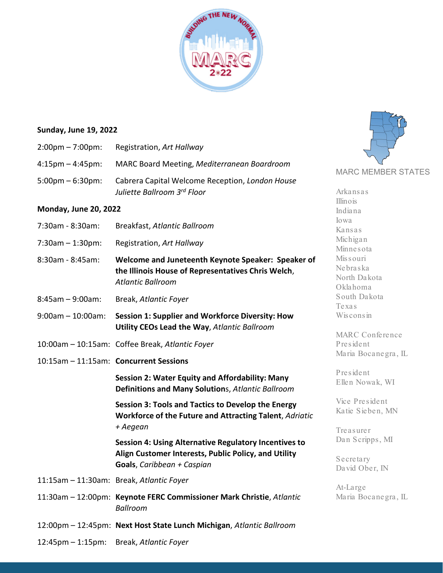

## **Sunday, June 19, 2022**

| $2:00 \text{pm} - 7:00 \text{pm}:$ | Registration, Art Hallway                                                      |
|------------------------------------|--------------------------------------------------------------------------------|
| $4:15 \text{pm} - 4:45 \text{pm}$  | MARC Board Meeting, Mediterranean Boardroom                                    |
| $5:00 \text{pm} - 6:30 \text{pm}$  | Cabrera Capital Welcome Reception, London House<br>Juliette Ballroom 3rd Floor |

# **Monday, June 20, 2022**

| 7:30am - 8:30am:     | Breakfast, Atlantic Ballroom                                                                                                                       | Iowa                                               |
|----------------------|----------------------------------------------------------------------------------------------------------------------------------------------------|----------------------------------------------------|
|                      |                                                                                                                                                    | Kansas                                             |
| 7:30am - 1:30pm:     | Registration, Art Hallway                                                                                                                          | Michigan<br>Minnesota                              |
| 8:30am - 8:45am:     | Welcome and Juneteenth Keynote Speaker: Speaker of<br>the Illinois House of Representatives Chris Welch,<br><b>Atlantic Ballroom</b>               | Mis s ouri<br>Nebraska<br>North Dakota<br>Oklahoma |
| 8:45am - 9:00am:     | Break, Atlantic Foyer                                                                                                                              | South Dakota<br>Texas                              |
| 9:00am - 10:00am:    | <b>Session 1: Supplier and Workforce Diversity: How</b><br>Utility CEOs Lead the Way, Atlantic Ballroom                                            | Wisconsin<br><b>MARC</b> Conference                |
|                      | 10:00am - 10:15am: Coffee Break, Atlantic Foyer                                                                                                    | President                                          |
|                      | 10:15am - 11:15am: Concurrent Sessions                                                                                                             | Maria Bocanegra, IL                                |
|                      | Session 2: Water Equity and Affordability: Many<br>Definitions and Many Solutions, Atlantic Ballroom                                               | President<br>Ellen Nowak, WI                       |
|                      | <b>Session 3: Tools and Tactics to Develop the Energy</b><br>Workforce of the Future and Attracting Talent, Adriatic<br>+ Aegean                   | Vice President<br>Katie Sieben, MN                 |
|                      |                                                                                                                                                    | Treasurer<br>Dan Scripps, MI                       |
|                      | <b>Session 4: Using Alternative Regulatory Incentives to</b><br>Align Customer Interests, Public Policy, and Utility<br>Goals, Caribbean + Caspian | Secretary<br>David Ober, IN                        |
|                      | 11:15am - 11:30am: Break, Atlantic Foyer                                                                                                           |                                                    |
|                      | 11:30am - 12:00pm: Keynote FERC Commissioner Mark Christie, Atlantic<br><b>Ballroom</b>                                                            | At-Large<br>Maria Bocanegra, IL                    |
|                      | 12:00pm - 12:45pm: Next Host State Lunch Michigan, Atlantic Ballroom                                                                               |                                                    |
| $12:45$ pm – 1:15pm: | Break, Atlantic Foyer                                                                                                                              |                                                    |
|                      |                                                                                                                                                    |                                                    |



Arkansas Illinois Indiana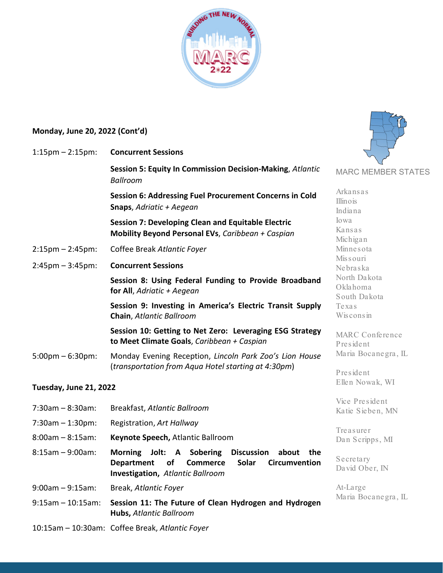

# **Monday, June 20, 2022 (Cont'd)**

10:15am – 10:30am: Coffee Break, *Atlantic Foyer*

| $1:15$ pm – $2:15$ pm:             | <b>Concurrent Sessions</b>                                                                                                                                                           |                                          |
|------------------------------------|--------------------------------------------------------------------------------------------------------------------------------------------------------------------------------------|------------------------------------------|
|                                    | Session 5: Equity In Commission Decision-Making, Atlantic<br><b>Ballroom</b>                                                                                                         | <b>MARC MEMBER STATES</b>                |
|                                    | Session 6: Addressing Fuel Procurement Concerns in Cold<br>Snaps, Adriatic + Aegean                                                                                                  | Arkansas<br>Illinois<br>Indiana          |
|                                    | <b>Session 7: Developing Clean and Equitable Electric</b><br>Mobility Beyond Personal EVs, Caribbean + Caspian                                                                       | Jowa<br>Kansas<br>Michigan               |
| $2:15 \text{pm} - 2:45 \text{pm}:$ | Coffee Break Atlantic Foyer                                                                                                                                                          | Minnesota                                |
| $2:45$ pm $-3:45$ pm:              | <b>Concurrent Sessions</b>                                                                                                                                                           | Mis s ouri<br>Nebraska                   |
|                                    | Session 8: Using Federal Funding to Provide Broadband<br>for All, Adriatic + Aegean                                                                                                  | North Dakota<br>Oklahoma<br>South Dakota |
|                                    | Session 9: Investing in America's Electric Transit Supply<br>Chain, Atlantic Ballroom                                                                                                | Texas<br>Wisconsin                       |
|                                    | Session 10: Getting to Net Zero: Leveraging ESG Strategy<br>to Meet Climate Goals, Caribbean + Caspian                                                                               | <b>MARC</b> Conference<br>President      |
| $5:00 \text{pm} - 6:30 \text{pm}$  | Monday Evening Reception, Lincoln Park Zoo's Lion House<br>(transportation from Aqua Hotel starting at 4:30pm)                                                                       | Maria Bocanegra, IL                      |
| <b>Tuesday, June 21, 2022</b>      |                                                                                                                                                                                      | President<br>Ellen Nowak, WI             |
| $7:30am - 8:30am$ :                | Breakfast, Atlantic Ballroom                                                                                                                                                         | Vice President<br>Katie Sieben, MN       |
| $7:30am - 1:30pm$ :                | Registration, Art Hallway                                                                                                                                                            |                                          |
| $8:00am - 8:15am$ :                | Keynote Speech, Atlantic Ballroom                                                                                                                                                    | Treasurer<br>Dan Scripps, MI             |
| $8:15am - 9:00am$ :                | <b>Discussion</b><br>Morning Jolt: A Sobering<br>about the<br><b>Solar</b><br><b>Department</b><br>of<br><b>Commerce</b><br><b>Circumvention</b><br>Investigation, Atlantic Ballroom | Secretary<br>David Ober, IN              |
| $9:00am - 9:15am$ :                | Break, Atlantic Foyer                                                                                                                                                                | At-Large                                 |
| $9:15am - 10:15am$ :               | Session 11: The Future of Clean Hydrogen and Hydrogen<br><b>Hubs, Atlantic Ballroom</b>                                                                                              | Maria Bocanegra, IL                      |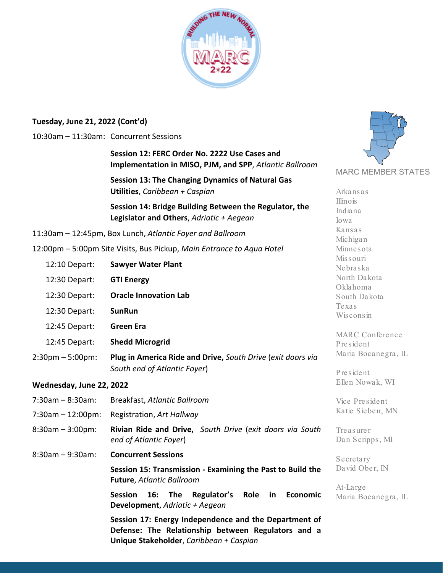

## **Tuesday, June 21, 2022 (Cont'd)**

### 10:30am – 11:30am: Concurrent Sessions

**Session 12: FERC Order No. 2222 Use Cases and Implementation in MISO, PJM, and SPP**, *Atlantic Ballroom*

**Session 13: The Changing Dynamics of Natural Gas Utilities**, *Caribbean + Caspian*

**Session 14: Bridge Building Between the Regulator, the Legislator and Others**, *Adriatic + Aegean*

11:30am – 12:45pm, Box Lunch, *Atlantic Foyer and Ballroom*

12:00pm – 5:00pm Site Visits, Bus Pickup, *Main Entrance to Aqua Hotel*

Missouri Nebraska North Dakota Oklahoma South Dakota Texas Wisconsin MARC Conference President Maria Bocanegra, IL President Ellen Nowak, WI Vice President Katie Sieben, MN Treasurer Dan Scripps, MI Secretary David Ober, IN At-Large 12:10 Depart: **Sawyer Water Plant** 12:30 Depart: **GTI Energy** 12:30 Depart: **Oracle Innovation Lab** 12:30 Depart: **SunRun** 12:45 Depart: **Green Era** 12:45 Depart: **Shedd Microgrid** 2:30pm – 5:00pm: **Plug in America Ride and Drive,** *South Drive* (*exit doors via South end of Atlantic Foyer*) **Wednesday, June 22, 2022** 7:30am – 8:30am: Breakfast, *Atlantic Ballroom* 7:30am – 12:00pm: Registration, *Art Hallway* 8:30am – 3:00pm: **Rivian Ride and Drive,** *South Drive* (*exit doors via South end of Atlantic Foyer*) 8:30am – 9:30am: **Concurrent Sessions Session 15: Transmission - Examining the Past to Build the Future**, *Atlantic Ballroom*

**Session 16: The Regulator's Role in Economic Development**, *Adriatic + Aegean*

**Session 17: Energy Independence and the Department of Defense: The Relationship between Regulators and a Unique Stakeholder**, *Caribbean + Caspian*



Arkansas Illinois Indiana Iowa Kansas Michigan Minnesota

Maria Bocanegra, IL